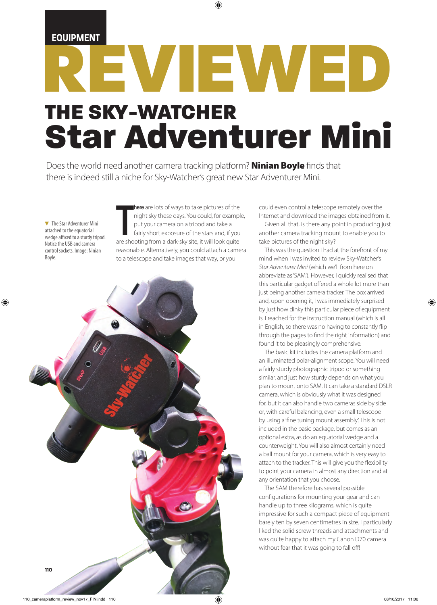### **EQUIPMENT**

# EWJED, THE SKY-WATCHER Star Adventurer Mini

◈

Does the world need another camera tracking platform? **Ninian Boyle** finds that there is indeed still a niche for Sky-Watcher's great new Star Adventurer Mini.

▼ The Star Adventurer Mini attached to the equatorial wedge affixed to a sturdy tripod. Notice the USB and camera control sockets. Image: Ninian Boyle.

◈

**There** are lots of ways to take pictures of the night sky these days. You could, for example put your camera on a tripod and take a fairly short exposure of the stars and, if you are shooting from a dark-sky site, it will **there** are lots of ways to take pictures of the night sky these days. You could, for example, put your camera on a tripod and take a fairly short exposure of the stars and, if you reasonable. Alternatively, you could attach a camera to a telescope and take images that way, or you



could even control a telescope remotely over the Internet and download the images obtained from it.

Given all that, is there any point in producing just another camera tracking mount to enable you to take pictures of the night sky?

This was the question I had at the forefront of my mind when I was invited to review Sky-Watcher's *Star Adventurer Mini* (which we'll from here on abbreviate as 'SAM'). However, I quickly realised that this particular gadget offered a whole lot more than just being another camera tracker. The box arrived and, upon opening it, I was immediately surprised by just how dinky this particular piece of equipment is. I reached for the instruction manual (which is all in English, so there was no having to constantly flip through the pages to find the right information) and found it to be pleasingly comprehensive.

The basic kit includes the camera platform and an illuminated polar-alignment scope. You will need a fairly sturdy photographic tripod or something similar, and just how sturdy depends on what you plan to mount onto SAM. It can take a standard DSLR camera, which is obviously what it was designed for, but it can also handle two cameras side by side or, with careful balancing, even a small telescope by using a 'fine tuning mount assembly'. This is not included in the basic package, but comes as an optional extra, as do an equatorial wedge and a counterweight. You will also almost certainly need a ball mount for your camera, which is very easy to attach to the tracker. This will give you the flexibility to point your camera in almost any direction and at any orientation that you choose.

The SAM therefore has several possible configurations for mounting your gear and can handle up to three kilograms, which is quite impressive for such a compact piece of equipment barely ten by seven centimetres in size. I particularly liked the solid screw threads and attachments and was quite happy to attach my Canon D70 camera without fear that it was going to fall off!

◈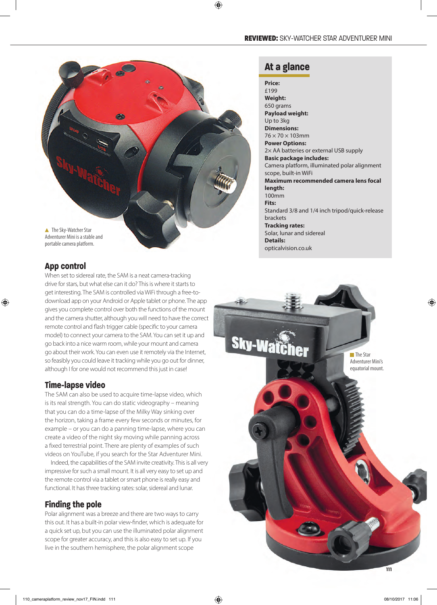#### REVIEWED: SKY-WATCHER STAR ADVENTURER MINI



#### **App control**

◈

When set to sidereal rate, the SAM is a neat camera-tracking drive for stars, but what else can it do? This is where it starts to get interesting. The SAM is controlled via WiFi through a free-todownload app on your Android or Apple tablet or phone. The app gives you complete control over both the functions of the mount and the camera shutter, although you will need to have the correct remote control and flash trigger cable (specific to your camera model) to connect your camera to the SAM. You can set it up and go back into a nice warm room, while your mount and camera go about their work. You can even use it remotely via the Internet, so feasibly you could leave it tracking while you go out for dinner, although I for one would not recommend this just in case!

#### **Time-lapse video**

The SAM can also be used to acquire time-lapse video, which is its real strength. You can do static videography – meaning that you can do a time-lapse of the Milky Way sinking over the horizon, taking a frame every few seconds or minutes, for example – or you can do a panning time-lapse, where you can create a video of the night sky moving while panning across a fixed terrestrial point. There are plenty of examples of such videos on YouTube, if you search for the Star Adventurer Mini.

Indeed, the capabilities of the SAM invite creativity. This is all very impressive for such a small mount. It is all very easy to set up and the remote control via a tablet or smart phone is really easy and functional. It has three tracking rates: solar, sidereal and lunar.

#### **Finding the pole**

Polar alignment was a breeze and there are two ways to carry this out. It has a built-in polar view-finder, which is adequate for a quick set up, but you can use the illuminated polar alignment scope for greater accuracy, and this is also easy to set up. If you live in the southern hemisphere, the polar alignment scope

## **At a glance**

⊕

**Price:**  £199 **Weight:** 650 grams **Payload weight:**  Up to 3kg **Dimensions:**   $76 \times 70 \times 103$ mm **Power Options:**  2× AA batteries or external USB supply **Basic package includes:** Camera platform, illuminated polar alignment scope, built-in WiFi **Maximum recommended camera lens focal length:**  100mm **Fits:**  Standard 3/8 and 1/4 inch tripod/quick-release brackets **Tracking rates:** Solar, lunar and sidereal **Details:**  opticalvision.co.uk